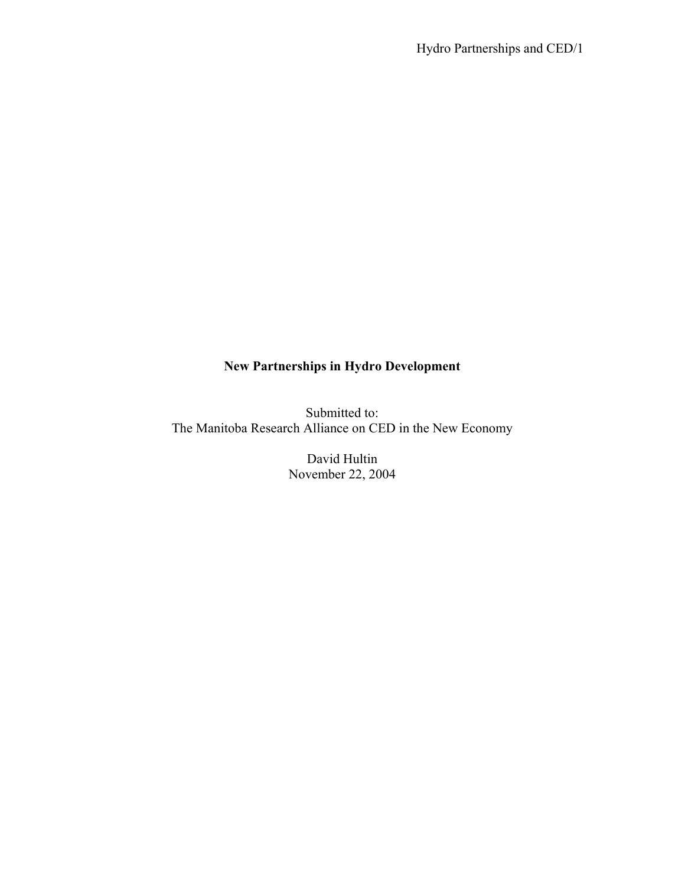# **New Partnerships in Hydro Development**

Submitted to: The Manitoba Research Alliance on CED in the New Economy

> David Hultin November 22, 2004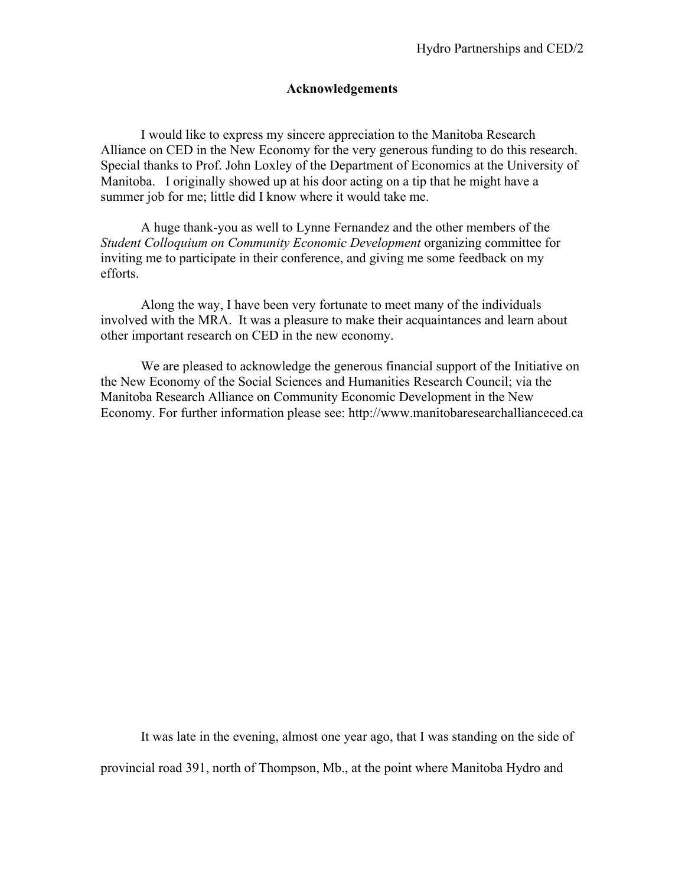# **Acknowledgements**

 I would like to express my sincere appreciation to the Manitoba Research Alliance on CED in the New Economy for the very generous funding to do this research. Special thanks to Prof. John Loxley of the Department of Economics at the University of Manitoba. I originally showed up at his door acting on a tip that he might have a summer job for me; little did I know where it would take me.

 A huge thank-you as well to Lynne Fernandez and the other members of the *Student Colloquium on Community Economic Development* organizing committee for inviting me to participate in their conference, and giving me some feedback on my efforts.

Along the way, I have been very fortunate to meet many of the individuals involved with the MRA. It was a pleasure to make their acquaintances and learn about other important research on CED in the new economy.

We are pleased to acknowledge the generous financial support of the Initiative on the New Economy of the Social Sciences and Humanities Research Council; via the Manitoba Research Alliance on Community Economic Development in the New Economy. For further information please see: http://www.manitobaresearchallianceced.ca

It was late in the evening, almost one year ago, that I was standing on the side of provincial road 391, north of Thompson, Mb., at the point where Manitoba Hydro and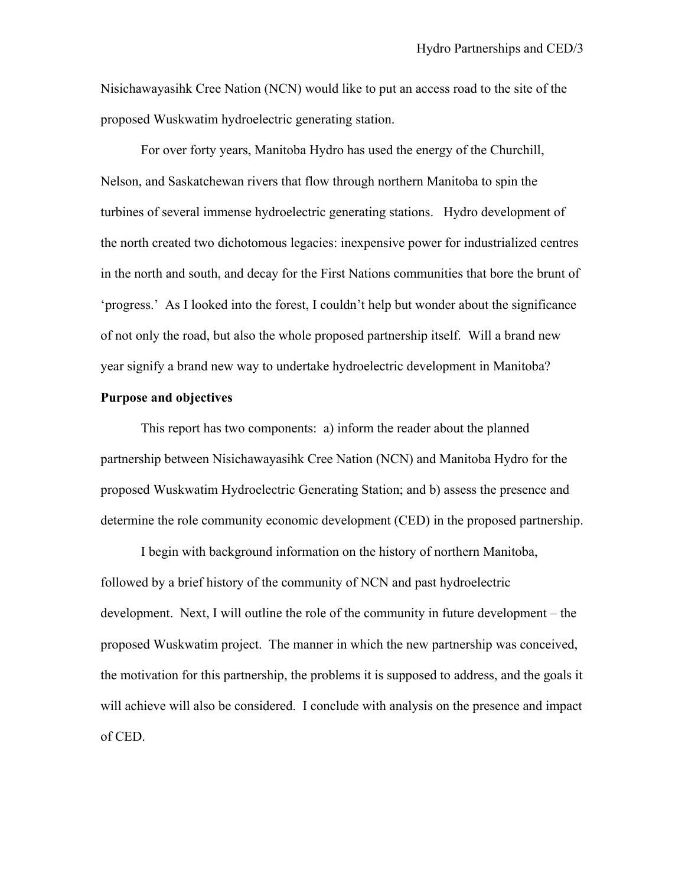Nisichawayasihk Cree Nation (NCN) would like to put an access road to the site of the proposed Wuskwatim hydroelectric generating station.

For over forty years, Manitoba Hydro has used the energy of the Churchill, Nelson, and Saskatchewan rivers that flow through northern Manitoba to spin the turbines of several immense hydroelectric generating stations. Hydro development of the north created two dichotomous legacies: inexpensive power for industrialized centres in the north and south, and decay for the First Nations communities that bore the brunt of 'progress.' As I looked into the forest, I couldn't help but wonder about the significance of not only the road, but also the whole proposed partnership itself. Will a brand new year signify a brand new way to undertake hydroelectric development in Manitoba?

# **Purpose and objectives**

This report has two components: a) inform the reader about the planned partnership between Nisichawayasihk Cree Nation (NCN) and Manitoba Hydro for the proposed Wuskwatim Hydroelectric Generating Station; and b) assess the presence and determine the role community economic development (CED) in the proposed partnership.

I begin with background information on the history of northern Manitoba, followed by a brief history of the community of NCN and past hydroelectric development. Next, I will outline the role of the community in future development – the proposed Wuskwatim project. The manner in which the new partnership was conceived, the motivation for this partnership, the problems it is supposed to address, and the goals it will achieve will also be considered. I conclude with analysis on the presence and impact of CED.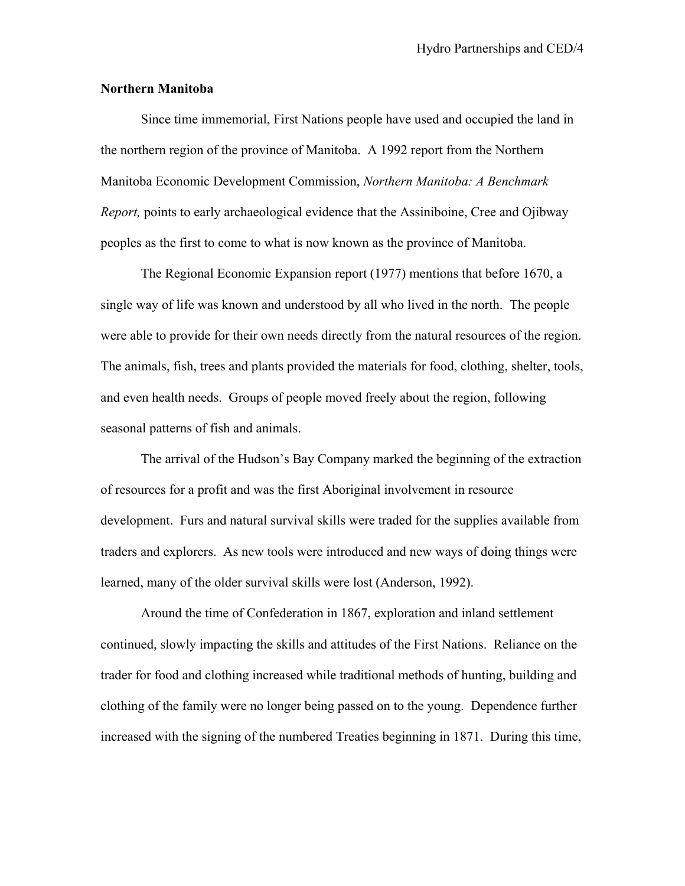# **Northern Manitoba**

Since time immemorial, First Nations people have used and occupied the land in the northern region of the province of Manitoba. A 1992 report from the Northern Manitoba Economic Development Commission, *Northern Manitoba: A Benchmark Report,* points to early archaeological evidence that the Assiniboine, Cree and Ojibway peoples as the first to come to what is now known as the province of Manitoba.

The Regional Economic Expansion report (1977) mentions that before 1670, a single way of life was known and understood by all who lived in the north. The people were able to provide for their own needs directly from the natural resources of the region. The animals, fish, trees and plants provided the materials for food, clothing, shelter, tools, and even health needs. Groups of people moved freely about the region, following seasonal patterns of fish and animals.

The arrival of the Hudson's Bay Company marked the beginning of the extraction of resources for a profit and was the first Aboriginal involvement in resource development. Furs and natural survival skills were traded for the supplies available from traders and explorers. As new tools were introduced and new ways of doing things were learned, many of the older survival skills were lost (Anderson, 1992).

Around the time of Confederation in 1867, exploration and inland settlement continued, slowly impacting the skills and attitudes of the First Nations. Reliance on the trader for food and clothing increased while traditional methods of hunting, building and clothing of the family were no longer being passed on to the young. Dependence further increased with the signing of the numbered Treaties beginning in 1871. During this time,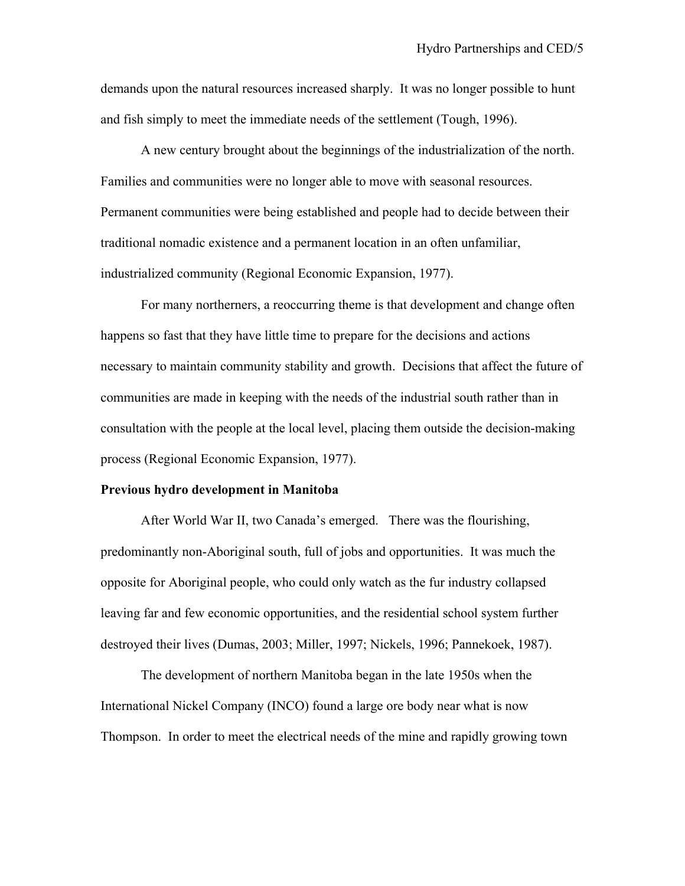demands upon the natural resources increased sharply. It was no longer possible to hunt and fish simply to meet the immediate needs of the settlement (Tough, 1996).

A new century brought about the beginnings of the industrialization of the north. Families and communities were no longer able to move with seasonal resources. Permanent communities were being established and people had to decide between their traditional nomadic existence and a permanent location in an often unfamiliar, industrialized community (Regional Economic Expansion, 1977).

For many northerners, a reoccurring theme is that development and change often happens so fast that they have little time to prepare for the decisions and actions necessary to maintain community stability and growth. Decisions that affect the future of communities are made in keeping with the needs of the industrial south rather than in consultation with the people at the local level, placing them outside the decision-making process (Regional Economic Expansion, 1977).

#### **Previous hydro development in Manitoba**

After World War II, two Canada's emerged. There was the flourishing, predominantly non-Aboriginal south, full of jobs and opportunities. It was much the opposite for Aboriginal people, who could only watch as the fur industry collapsed leaving far and few economic opportunities, and the residential school system further destroyed their lives (Dumas, 2003; Miller, 1997; Nickels, 1996; Pannekoek, 1987).

The development of northern Manitoba began in the late 1950s when the International Nickel Company (INCO) found a large ore body near what is now Thompson. In order to meet the electrical needs of the mine and rapidly growing town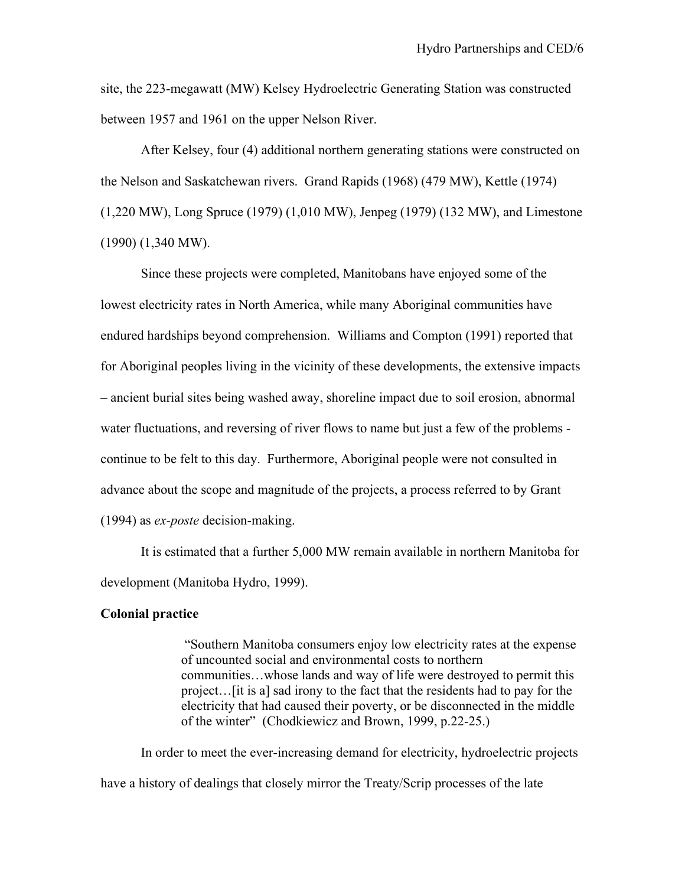site, the 223-megawatt (MW) Kelsey Hydroelectric Generating Station was constructed between 1957 and 1961 on the upper Nelson River.

After Kelsey, four (4) additional northern generating stations were constructed on the Nelson and Saskatchewan rivers. Grand Rapids (1968) (479 MW), Kettle (1974) (1,220 MW), Long Spruce (1979) (1,010 MW), Jenpeg (1979) (132 MW), and Limestone (1990) (1,340 MW).

Since these projects were completed, Manitobans have enjoyed some of the lowest electricity rates in North America, while many Aboriginal communities have endured hardships beyond comprehension. Williams and Compton (1991) reported that for Aboriginal peoples living in the vicinity of these developments, the extensive impacts – ancient burial sites being washed away, shoreline impact due to soil erosion, abnormal water fluctuations, and reversing of river flows to name but just a few of the problems continue to be felt to this day. Furthermore, Aboriginal people were not consulted in advance about the scope and magnitude of the projects, a process referred to by Grant (1994) as *ex-poste* decision-making.

It is estimated that a further 5,000 MW remain available in northern Manitoba for development (Manitoba Hydro, 1999).

# **Colonial practice**

"Southern Manitoba consumers enjoy low electricity rates at the expense of uncounted social and environmental costs to northern communities…whose lands and way of life were destroyed to permit this project…[it is a] sad irony to the fact that the residents had to pay for the electricity that had caused their poverty, or be disconnected in the middle of the winter" (Chodkiewicz and Brown, 1999, p.22-25.)

In order to meet the ever-increasing demand for electricity, hydroelectric projects have a history of dealings that closely mirror the Treaty/Scrip processes of the late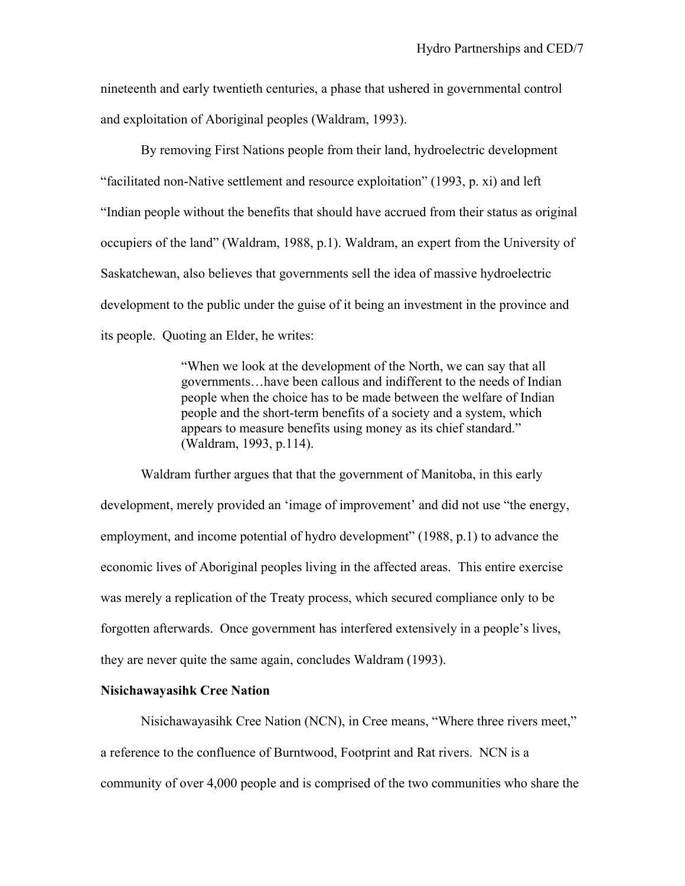nineteenth and early twentieth centuries, a phase that ushered in governmental control and exploitation of Aboriginal peoples (Waldram, 1993).

By removing First Nations people from their land, hydroelectric development "facilitated non-Native settlement and resource exploitation" (1993, p. xi) and left "Indian people without the benefits that should have accrued from their status as original occupiers of the land" (Waldram, 1988, p.1). Waldram, an expert from the University of Saskatchewan, also believes that governments sell the idea of massive hydroelectric development to the public under the guise of it being an investment in the province and its people. Quoting an Elder, he writes:

> "When we look at the development of the North, we can say that all governments…have been callous and indifferent to the needs of Indian people when the choice has to be made between the welfare of Indian people and the short-term benefits of a society and a system, which appears to measure benefits using money as its chief standard." (Waldram, 1993, p.114).

 Waldram further argues that that the government of Manitoba, in this early development, merely provided an 'image of improvement' and did not use "the energy, employment, and income potential of hydro development" (1988, p.1) to advance the economic lives of Aboriginal peoples living in the affected areas. This entire exercise was merely a replication of the Treaty process, which secured compliance only to be forgotten afterwards. Once government has interfered extensively in a people's lives, they are never quite the same again, concludes Waldram (1993).

# **Nisichawayasihk Cree Nation**

 Nisichawayasihk Cree Nation (NCN), in Cree means, "Where three rivers meet," a reference to the confluence of Burntwood, Footprint and Rat rivers. NCN is a community of over 4,000 people and is comprised of the two communities who share the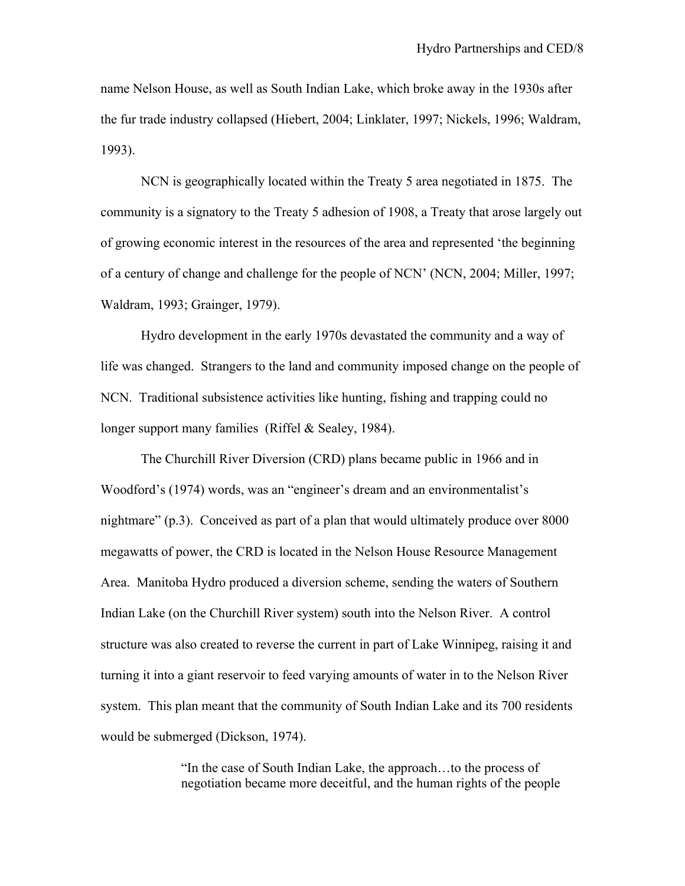name Nelson House, as well as South Indian Lake, which broke away in the 1930s after the fur trade industry collapsed (Hiebert, 2004; Linklater, 1997; Nickels, 1996; Waldram, 1993).

 NCN is geographically located within the Treaty 5 area negotiated in 1875. The community is a signatory to the Treaty 5 adhesion of 1908, a Treaty that arose largely out of growing economic interest in the resources of the area and represented 'the beginning of a century of change and challenge for the people of NCN' (NCN, 2004; Miller, 1997; Waldram, 1993; Grainger, 1979).

 Hydro development in the early 1970s devastated the community and a way of life was changed. Strangers to the land and community imposed change on the people of NCN. Traditional subsistence activities like hunting, fishing and trapping could no longer support many families (Riffel & Sealey, 1984).

 The Churchill River Diversion (CRD) plans became public in 1966 and in Woodford's (1974) words, was an "engineer's dream and an environmentalist's nightmare" (p.3). Conceived as part of a plan that would ultimately produce over 8000 megawatts of power, the CRD is located in the Nelson House Resource Management Area. Manitoba Hydro produced a diversion scheme, sending the waters of Southern Indian Lake (on the Churchill River system) south into the Nelson River. A control structure was also created to reverse the current in part of Lake Winnipeg, raising it and turning it into a giant reservoir to feed varying amounts of water in to the Nelson River system. This plan meant that the community of South Indian Lake and its 700 residents would be submerged (Dickson, 1974).

> "In the case of South Indian Lake, the approach…to the process of negotiation became more deceitful, and the human rights of the people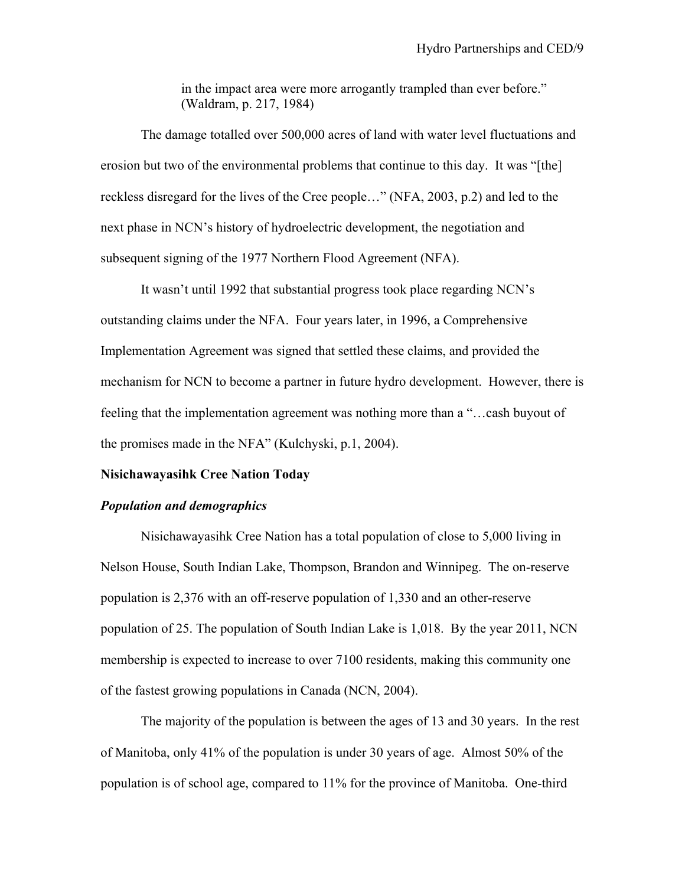in the impact area were more arrogantly trampled than ever before." (Waldram, p. 217, 1984)

 The damage totalled over 500,000 acres of land with water level fluctuations and erosion but two of the environmental problems that continue to this day. It was "[the] reckless disregard for the lives of the Cree people…" (NFA, 2003, p.2) and led to the next phase in NCN's history of hydroelectric development, the negotiation and subsequent signing of the 1977 Northern Flood Agreement (NFA).

 It wasn't until 1992 that substantial progress took place regarding NCN's outstanding claims under the NFA. Four years later, in 1996, a Comprehensive Implementation Agreement was signed that settled these claims, and provided the mechanism for NCN to become a partner in future hydro development. However, there is feeling that the implementation agreement was nothing more than a "…cash buyout of the promises made in the NFA" (Kulchyski, p.1, 2004).

# **Nisichawayasihk Cree Nation Today**

# *Population and demographics*

Nisichawayasihk Cree Nation has a total population of close to 5,000 living in Nelson House, South Indian Lake, Thompson, Brandon and Winnipeg. The on-reserve population is 2,376 with an off-reserve population of 1,330 and an other-reserve population of 25. The population of South Indian Lake is 1,018. By the year 2011, NCN membership is expected to increase to over 7100 residents, making this community one of the fastest growing populations in Canada (NCN, 2004).

The majority of the population is between the ages of 13 and 30 years. In the rest of Manitoba, only 41% of the population is under 30 years of age. Almost 50% of the population is of school age, compared to 11% for the province of Manitoba. One-third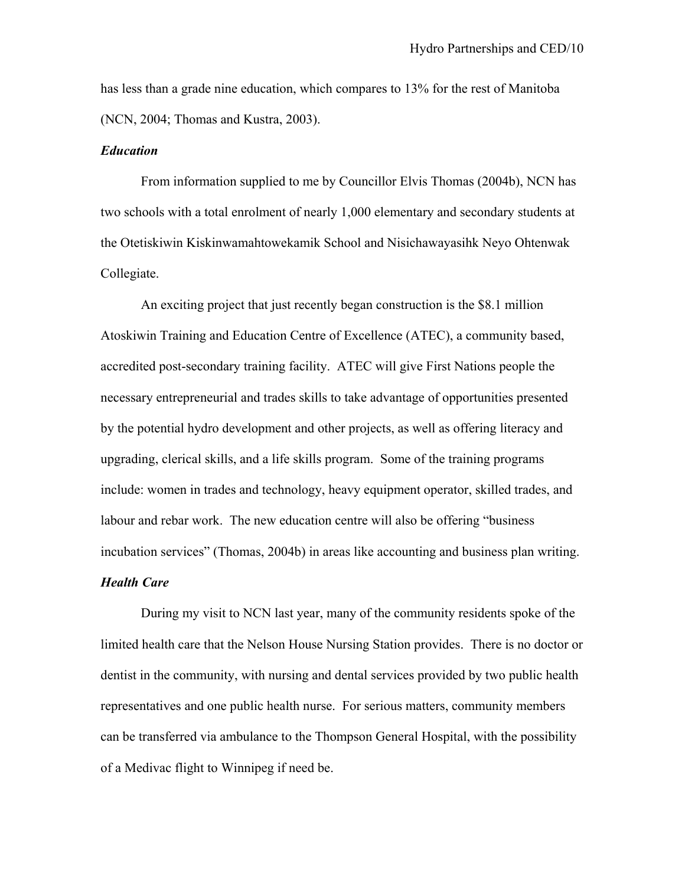has less than a grade nine education, which compares to 13% for the rest of Manitoba (NCN, 2004; Thomas and Kustra, 2003).

### *Education*

From information supplied to me by Councillor Elvis Thomas (2004b), NCN has two schools with a total enrolment of nearly 1,000 elementary and secondary students at the Otetiskiwin Kiskinwamahtowekamik School and Nisichawayasihk Neyo Ohtenwak Collegiate.

 An exciting project that just recently began construction is the \$8.1 million Atoskiwin Training and Education Centre of Excellence (ATEC), a community based, accredited post-secondary training facility. ATEC will give First Nations people the necessary entrepreneurial and trades skills to take advantage of opportunities presented by the potential hydro development and other projects, as well as offering literacy and upgrading, clerical skills, and a life skills program. Some of the training programs include: women in trades and technology, heavy equipment operator, skilled trades, and labour and rebar work. The new education centre will also be offering "business incubation services" (Thomas, 2004b) in areas like accounting and business plan writing. *Health Care* 

 During my visit to NCN last year, many of the community residents spoke of the limited health care that the Nelson House Nursing Station provides. There is no doctor or dentist in the community, with nursing and dental services provided by two public health representatives and one public health nurse. For serious matters, community members can be transferred via ambulance to the Thompson General Hospital, with the possibility of a Medivac flight to Winnipeg if need be.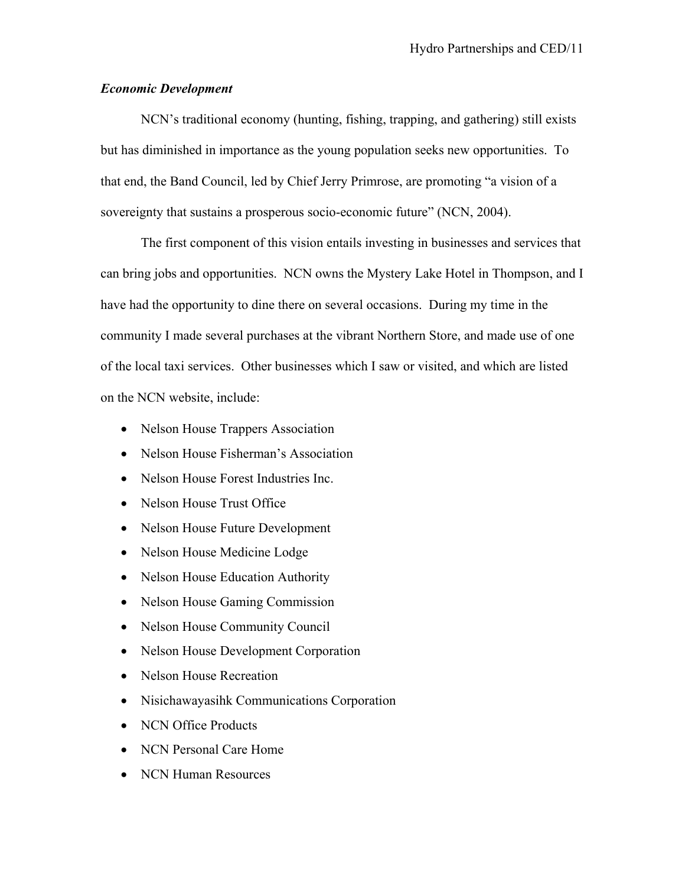# *Economic Development*

NCN's traditional economy (hunting, fishing, trapping, and gathering) still exists but has diminished in importance as the young population seeks new opportunities. To that end, the Band Council, led by Chief Jerry Primrose, are promoting "a vision of a sovereignty that sustains a prosperous socio-economic future" (NCN, 2004).

The first component of this vision entails investing in businesses and services that can bring jobs and opportunities. NCN owns the Mystery Lake Hotel in Thompson, and I have had the opportunity to dine there on several occasions. During my time in the community I made several purchases at the vibrant Northern Store, and made use of one of the local taxi services. Other businesses which I saw or visited, and which are listed on the NCN website, include:

- Nelson House Trappers Association
- Nelson House Fisherman's Association
- Nelson House Forest Industries Inc.
- Nelson House Trust Office
- Nelson House Future Development
- Nelson House Medicine Lodge
- Nelson House Education Authority
- Nelson House Gaming Commission
- Nelson House Community Council
- Nelson House Development Corporation
- Nelson House Recreation
- Nisichawayasihk Communications Corporation
- NCN Office Products
- NCN Personal Care Home
- NCN Human Resources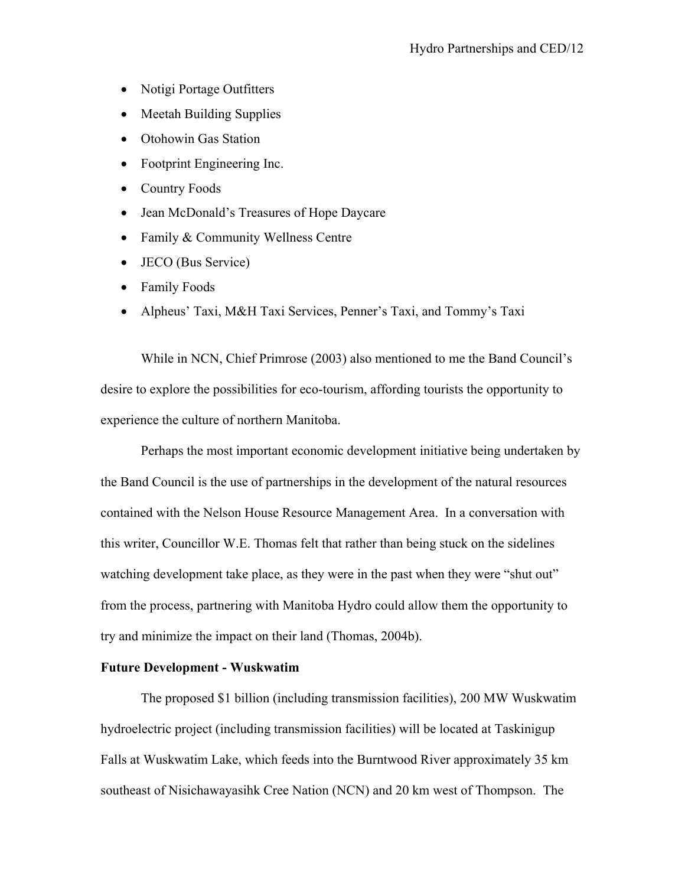- Notigi Portage Outfitters
- Meetah Building Supplies
- Otohowin Gas Station
- Footprint Engineering Inc.
- Country Foods
- Jean McDonald's Treasures of Hope Daycare
- Family & Community Wellness Centre
- JECO (Bus Service)
- Family Foods
- Alpheus' Taxi, M&H Taxi Services, Penner's Taxi, and Tommy's Taxi

While in NCN, Chief Primrose (2003) also mentioned to me the Band Council's desire to explore the possibilities for eco-tourism, affording tourists the opportunity to experience the culture of northern Manitoba.

Perhaps the most important economic development initiative being undertaken by the Band Council is the use of partnerships in the development of the natural resources contained with the Nelson House Resource Management Area. In a conversation with this writer, Councillor W.E. Thomas felt that rather than being stuck on the sidelines watching development take place, as they were in the past when they were "shut out" from the process, partnering with Manitoba Hydro could allow them the opportunity to try and minimize the impact on their land (Thomas, 2004b).

#### **Future Development - Wuskwatim**

The proposed \$1 billion (including transmission facilities), 200 MW Wuskwatim hydroelectric project (including transmission facilities) will be located at Taskinigup Falls at Wuskwatim Lake, which feeds into the Burntwood River approximately 35 km southeast of Nisichawayasihk Cree Nation (NCN) and 20 km west of Thompson. The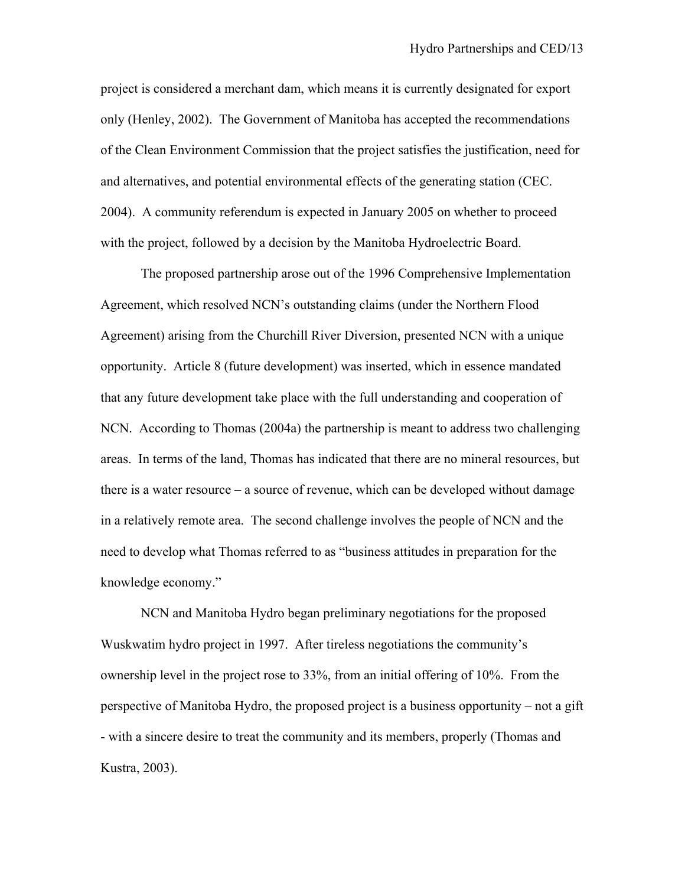project is considered a merchant dam, which means it is currently designated for export only (Henley, 2002). The Government of Manitoba has accepted the recommendations of the Clean Environment Commission that the project satisfies the justification, need for and alternatives, and potential environmental effects of the generating station (CEC. 2004). A community referendum is expected in January 2005 on whether to proceed with the project, followed by a decision by the Manitoba Hydroelectric Board.

The proposed partnership arose out of the 1996 Comprehensive Implementation Agreement, which resolved NCN's outstanding claims (under the Northern Flood Agreement) arising from the Churchill River Diversion, presented NCN with a unique opportunity. Article 8 (future development) was inserted, which in essence mandated that any future development take place with the full understanding and cooperation of NCN. According to Thomas (2004a) the partnership is meant to address two challenging areas. In terms of the land, Thomas has indicated that there are no mineral resources, but there is a water resource – a source of revenue, which can be developed without damage in a relatively remote area. The second challenge involves the people of NCN and the need to develop what Thomas referred to as "business attitudes in preparation for the knowledge economy."

NCN and Manitoba Hydro began preliminary negotiations for the proposed Wuskwatim hydro project in 1997. After tireless negotiations the community's ownership level in the project rose to 33%, from an initial offering of 10%. From the perspective of Manitoba Hydro, the proposed project is a business opportunity – not a gift - with a sincere desire to treat the community and its members, properly (Thomas and Kustra, 2003).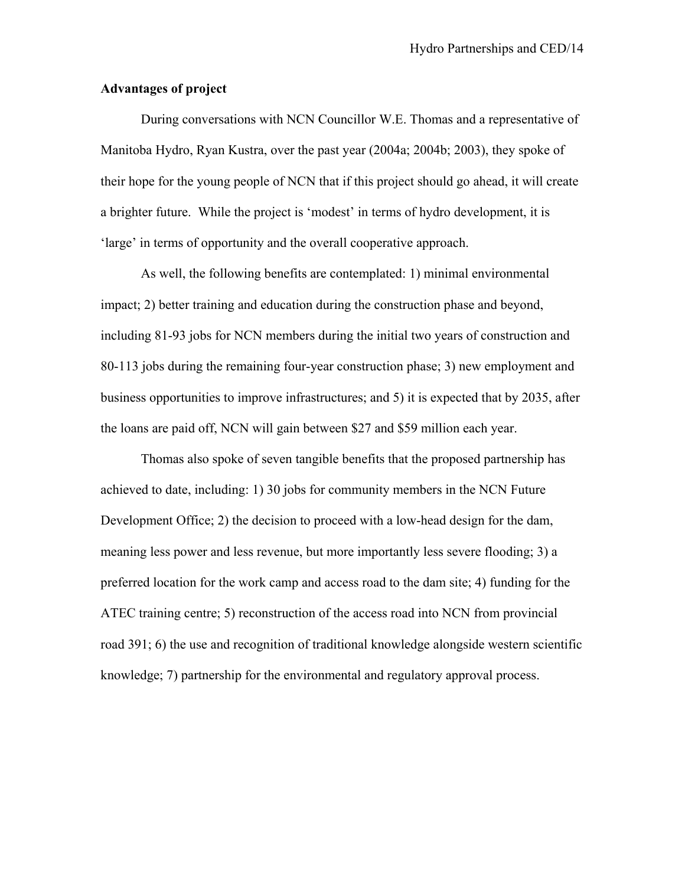# **Advantages of project**

During conversations with NCN Councillor W.E. Thomas and a representative of Manitoba Hydro, Ryan Kustra, over the past year (2004a; 2004b; 2003), they spoke of their hope for the young people of NCN that if this project should go ahead, it will create a brighter future. While the project is 'modest' in terms of hydro development, it is 'large' in terms of opportunity and the overall cooperative approach.

As well, the following benefits are contemplated: 1) minimal environmental impact; 2) better training and education during the construction phase and beyond, including 81-93 jobs for NCN members during the initial two years of construction and 80-113 jobs during the remaining four-year construction phase; 3) new employment and business opportunities to improve infrastructures; and 5) it is expected that by 2035, after the loans are paid off, NCN will gain between \$27 and \$59 million each year.

Thomas also spoke of seven tangible benefits that the proposed partnership has achieved to date, including: 1) 30 jobs for community members in the NCN Future Development Office; 2) the decision to proceed with a low-head design for the dam, meaning less power and less revenue, but more importantly less severe flooding; 3) a preferred location for the work camp and access road to the dam site; 4) funding for the ATEC training centre; 5) reconstruction of the access road into NCN from provincial road 391; 6) the use and recognition of traditional knowledge alongside western scientific knowledge; 7) partnership for the environmental and regulatory approval process.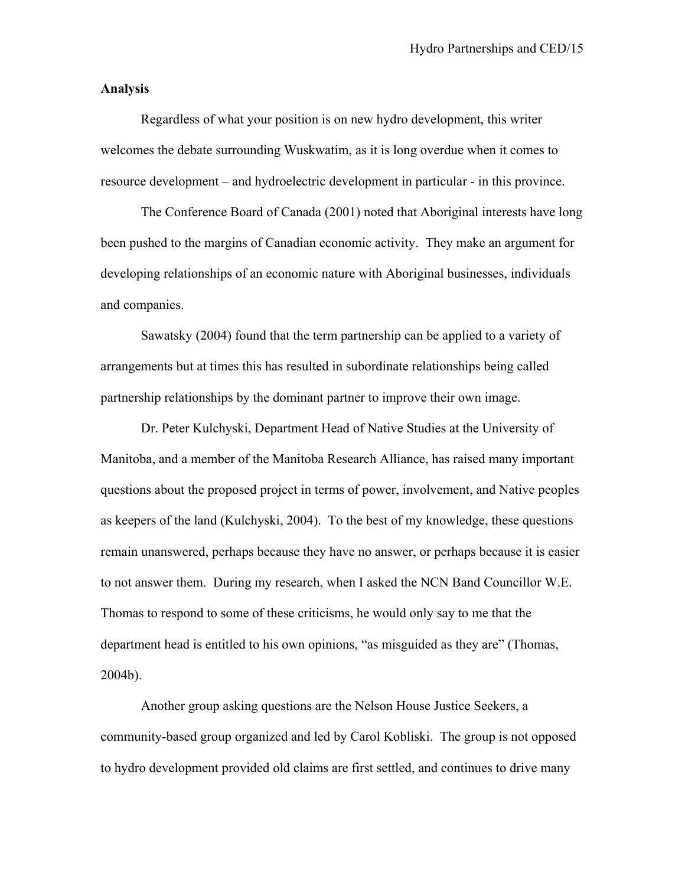# **Analysis**

Regardless of what your position is on new hydro development, this writer welcomes the debate surrounding Wuskwatim, as it is long overdue when it comes to resource development – and hydroelectric development in particular - in this province.

The Conference Board of Canada (2001) noted that Aboriginal interests have long been pushed to the margins of Canadian economic activity. They make an argument for developing relationships of an economic nature with Aboriginal businesses, individuals and companies.

Sawatsky (2004) found that the term partnership can be applied to a variety of arrangements but at times this has resulted in subordinate relationships being called partnership relationships by the dominant partner to improve their own image.

Dr. Peter Kulchyski, Department Head of Native Studies at the University of Manitoba, and a member of the Manitoba Research Alliance, has raised many important questions about the proposed project in terms of power, involvement, and Native peoples as keepers of the land (Kulchyski, 2004). To the best of my knowledge, these questions remain unanswered, perhaps because they have no answer, or perhaps because it is easier to not answer them. During my research, when I asked the NCN Band Councillor W.E. Thomas to respond to some of these criticisms, he would only say to me that the department head is entitled to his own opinions, "as misguided as they are" (Thomas, 2004b).

Another group asking questions are the Nelson House Justice Seekers, a community-based group organized and led by Carol Kobliski. The group is not opposed to hydro development provided old claims are first settled, and continues to drive many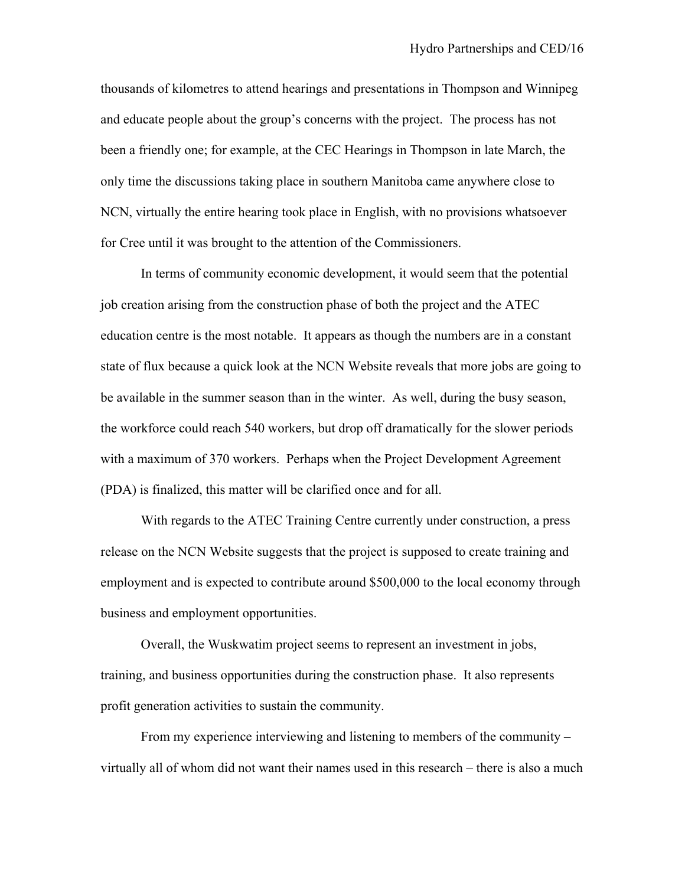thousands of kilometres to attend hearings and presentations in Thompson and Winnipeg and educate people about the group's concerns with the project. The process has not been a friendly one; for example, at the CEC Hearings in Thompson in late March, the only time the discussions taking place in southern Manitoba came anywhere close to NCN, virtually the entire hearing took place in English, with no provisions whatsoever for Cree until it was brought to the attention of the Commissioners.

In terms of community economic development, it would seem that the potential job creation arising from the construction phase of both the project and the ATEC education centre is the most notable. It appears as though the numbers are in a constant state of flux because a quick look at the NCN Website reveals that more jobs are going to be available in the summer season than in the winter. As well, during the busy season, the workforce could reach 540 workers, but drop off dramatically for the slower periods with a maximum of 370 workers. Perhaps when the Project Development Agreement (PDA) is finalized, this matter will be clarified once and for all.

With regards to the ATEC Training Centre currently under construction, a press release on the NCN Website suggests that the project is supposed to create training and employment and is expected to contribute around \$500,000 to the local economy through business and employment opportunities.

Overall, the Wuskwatim project seems to represent an investment in jobs, training, and business opportunities during the construction phase. It also represents profit generation activities to sustain the community.

From my experience interviewing and listening to members of the community – virtually all of whom did not want their names used in this research – there is also a much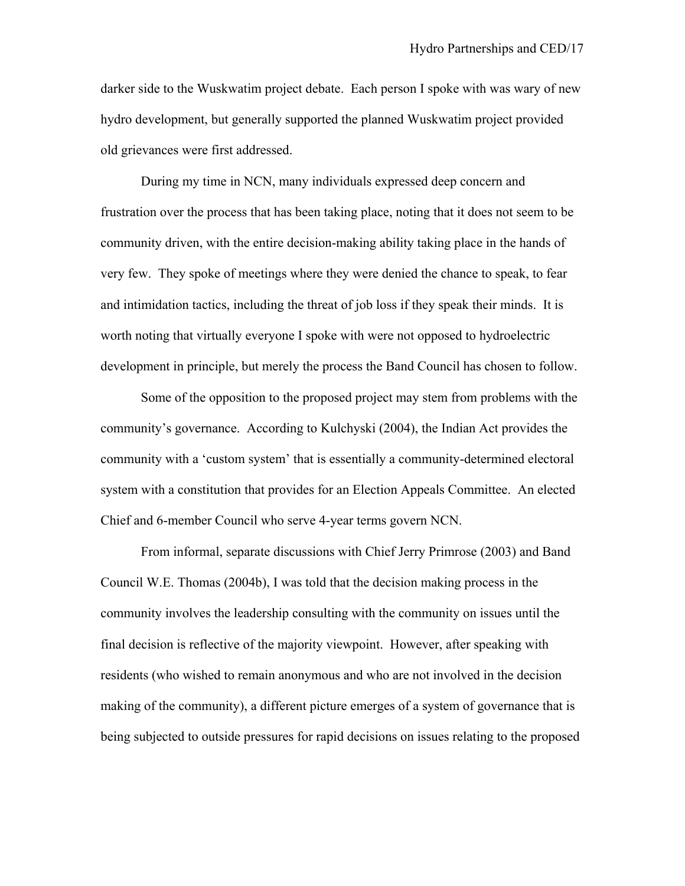darker side to the Wuskwatim project debate. Each person I spoke with was wary of new hydro development, but generally supported the planned Wuskwatim project provided old grievances were first addressed.

During my time in NCN, many individuals expressed deep concern and frustration over the process that has been taking place, noting that it does not seem to be community driven, with the entire decision-making ability taking place in the hands of very few. They spoke of meetings where they were denied the chance to speak, to fear and intimidation tactics, including the threat of job loss if they speak their minds. It is worth noting that virtually everyone I spoke with were not opposed to hydroelectric development in principle, but merely the process the Band Council has chosen to follow.

Some of the opposition to the proposed project may stem from problems with the community's governance. According to Kulchyski (2004), the Indian Act provides the community with a 'custom system' that is essentially a community-determined electoral system with a constitution that provides for an Election Appeals Committee. An elected Chief and 6-member Council who serve 4-year terms govern NCN.

From informal, separate discussions with Chief Jerry Primrose (2003) and Band Council W.E. Thomas (2004b), I was told that the decision making process in the community involves the leadership consulting with the community on issues until the final decision is reflective of the majority viewpoint. However, after speaking with residents (who wished to remain anonymous and who are not involved in the decision making of the community), a different picture emerges of a system of governance that is being subjected to outside pressures for rapid decisions on issues relating to the proposed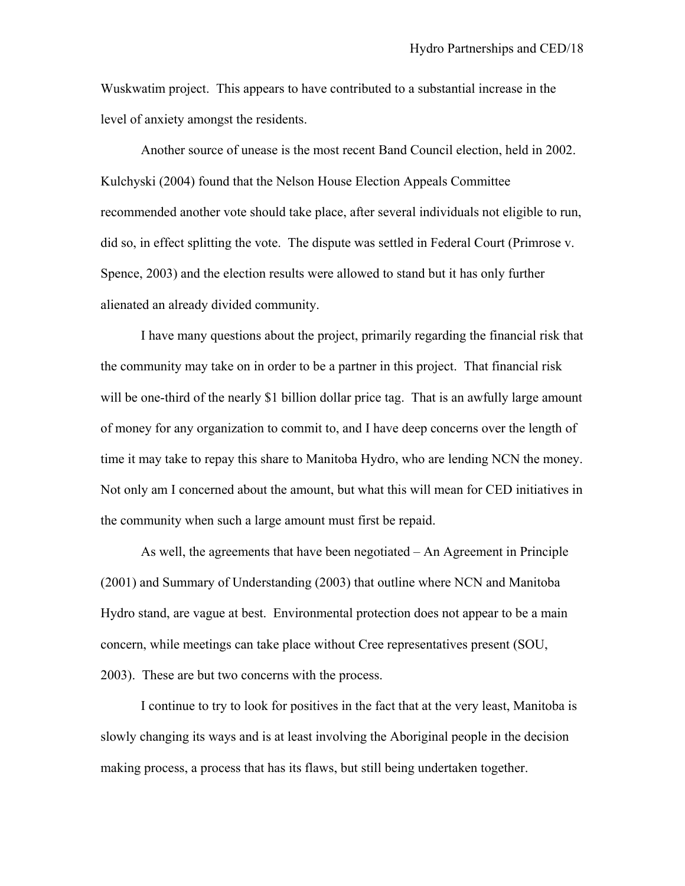Wuskwatim project. This appears to have contributed to a substantial increase in the level of anxiety amongst the residents.

Another source of unease is the most recent Band Council election, held in 2002. Kulchyski (2004) found that the Nelson House Election Appeals Committee recommended another vote should take place, after several individuals not eligible to run, did so, in effect splitting the vote. The dispute was settled in Federal Court (Primrose v. Spence, 2003) and the election results were allowed to stand but it has only further alienated an already divided community.

I have many questions about the project, primarily regarding the financial risk that the community may take on in order to be a partner in this project. That financial risk will be one-third of the nearly \$1 billion dollar price tag. That is an awfully large amount of money for any organization to commit to, and I have deep concerns over the length of time it may take to repay this share to Manitoba Hydro, who are lending NCN the money. Not only am I concerned about the amount, but what this will mean for CED initiatives in the community when such a large amount must first be repaid.

As well, the agreements that have been negotiated – An Agreement in Principle (2001) and Summary of Understanding (2003) that outline where NCN and Manitoba Hydro stand, are vague at best. Environmental protection does not appear to be a main concern, while meetings can take place without Cree representatives present (SOU, 2003). These are but two concerns with the process.

I continue to try to look for positives in the fact that at the very least, Manitoba is slowly changing its ways and is at least involving the Aboriginal people in the decision making process, a process that has its flaws, but still being undertaken together.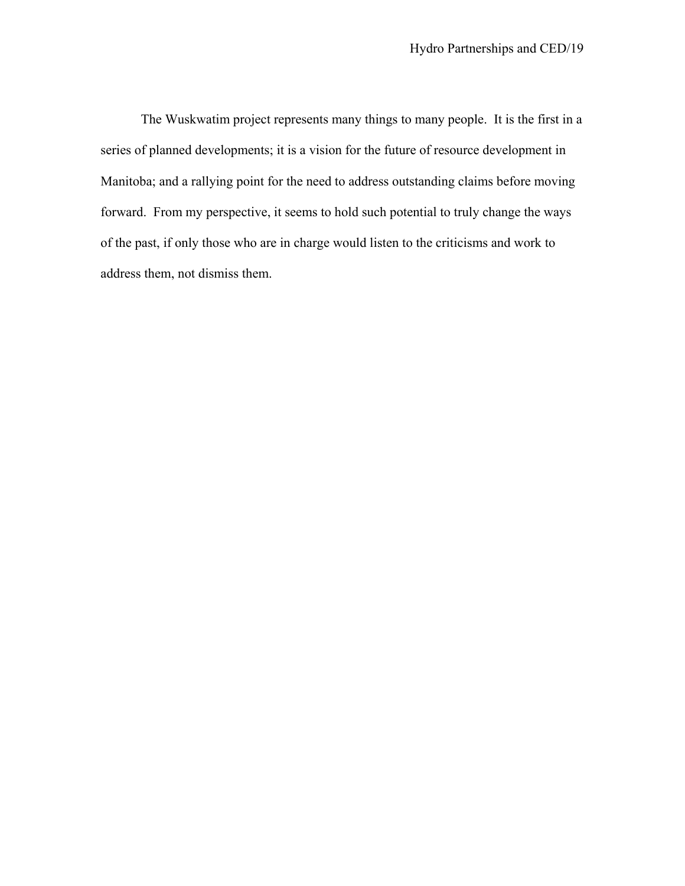The Wuskwatim project represents many things to many people. It is the first in a series of planned developments; it is a vision for the future of resource development in Manitoba; and a rallying point for the need to address outstanding claims before moving forward. From my perspective, it seems to hold such potential to truly change the ways of the past, if only those who are in charge would listen to the criticisms and work to address them, not dismiss them.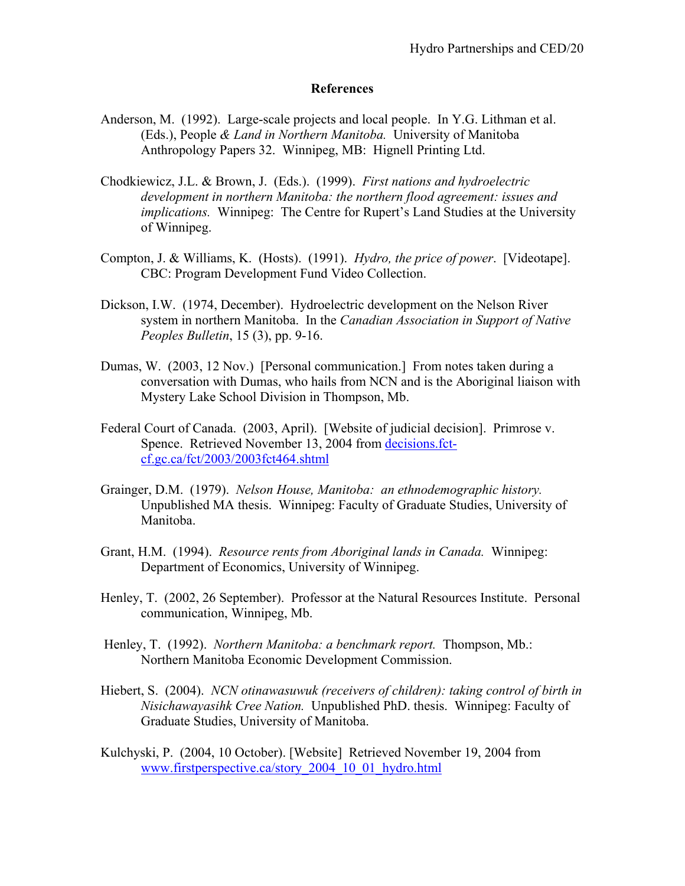# **References**

- Anderson, M. (1992). Large-scale projects and local people. In Y.G. Lithman et al. (Eds.), People *& Land in Northern Manitoba.* University of Manitoba Anthropology Papers 32. Winnipeg, MB: Hignell Printing Ltd.
- Chodkiewicz, J.L. & Brown, J. (Eds.). (1999). *First nations and hydroelectric development in northern Manitoba: the northern flood agreement: issues and implications.* Winnipeg: The Centre for Rupert's Land Studies at the University of Winnipeg.
- Compton, J. & Williams, K. (Hosts). (1991). *Hydro, the price of power*. [Videotape]. CBC: Program Development Fund Video Collection.
- Dickson, I.W. (1974, December). Hydroelectric development on the Nelson River system in northern Manitoba. In the *Canadian Association in Support of Native Peoples Bulletin*, 15 (3), pp. 9-16.
- Dumas, W. (2003, 12 Nov.) [Personal communication.] From notes taken during a conversation with Dumas, who hails from NCN and is the Aboriginal liaison with Mystery Lake School Division in Thompson, Mb.
- Federal Court of Canada. (2003, April). [Website of judicial decision]. Primrose v. Spence. Retrieved November 13, 2004 from decisions.fctcf.gc.ca/fct/2003/2003fct464.shtml
- Grainger, D.M. (1979). *Nelson House, Manitoba: an ethnodemographic history.* Unpublished MA thesis. Winnipeg: Faculty of Graduate Studies, University of Manitoba.
- Grant, H.M. (1994). *Resource rents from Aboriginal lands in Canada.* Winnipeg: Department of Economics, University of Winnipeg.
- Henley, T. (2002, 26 September). Professor at the Natural Resources Institute. Personal communication, Winnipeg, Mb.
- Henley, T. (1992). *Northern Manitoba: a benchmark report.* Thompson, Mb.: Northern Manitoba Economic Development Commission.
- Hiebert, S. (2004). *NCN otinawasuwuk (receivers of children): taking control of birth in Nisichawayasihk Cree Nation.* Unpublished PhD. thesis. Winnipeg: Faculty of Graduate Studies, University of Manitoba.
- Kulchyski, P. (2004, 10 October). [Website] Retrieved November 19, 2004 from www.firstperspective.ca/story\_2004\_10\_01\_hydro.html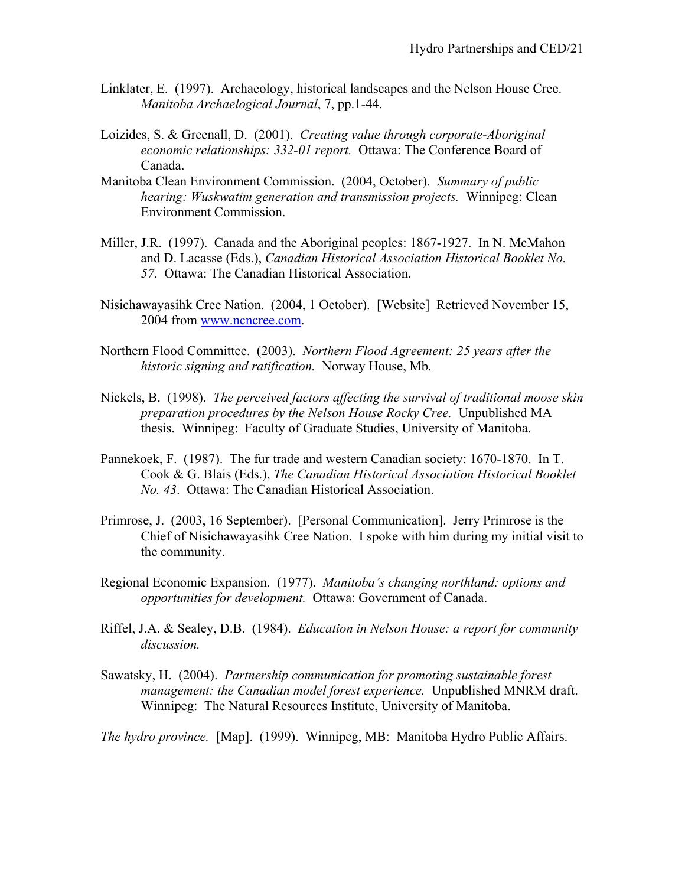- Linklater, E. (1997). Archaeology, historical landscapes and the Nelson House Cree. *Manitoba Archaelogical Journal*, 7, pp.1-44.
- Loizides, S. & Greenall, D. (2001). *Creating value through corporate-Aboriginal economic relationships: 332-01 report.* Ottawa: The Conference Board of Canada.
- Manitoba Clean Environment Commission. (2004, October). *Summary of public hearing: Wuskwatim generation and transmission projects.* Winnipeg: Clean Environment Commission.
- Miller, J.R. (1997). Canada and the Aboriginal peoples: 1867-1927. In N. McMahon and D. Lacasse (Eds.), *Canadian Historical Association Historical Booklet No. 57.* Ottawa: The Canadian Historical Association.
- Nisichawayasihk Cree Nation. (2004, 1 October). [Website] Retrieved November 15, 2004 from www.ncncree.com.
- Northern Flood Committee. (2003). *Northern Flood Agreement: 25 years after the historic signing and ratification.* Norway House, Mb.
- Nickels, B. (1998). *The perceived factors affecting the survival of traditional moose skin preparation procedures by the Nelson House Rocky Cree.* Unpublished MA thesis. Winnipeg: Faculty of Graduate Studies, University of Manitoba.
- Pannekoek, F. (1987). The fur trade and western Canadian society: 1670-1870. In T. Cook & G. Blais (Eds.), *The Canadian Historical Association Historical Booklet No. 43*. Ottawa: The Canadian Historical Association.
- Primrose, J. (2003, 16 September). [Personal Communication]. Jerry Primrose is the Chief of Nisichawayasihk Cree Nation. I spoke with him during my initial visit to the community.
- Regional Economic Expansion. (1977). *Manitoba's changing northland: options and opportunities for development.* Ottawa: Government of Canada.
- Riffel, J.A. & Sealey, D.B. (1984). *Education in Nelson House: a report for community discussion.*
- Sawatsky, H. (2004). *Partnership communication for promoting sustainable forest management: the Canadian model forest experience.* Unpublished MNRM draft. Winnipeg: The Natural Resources Institute, University of Manitoba.
- *The hydro province.* [Map]. (1999). Winnipeg, MB: Manitoba Hydro Public Affairs.